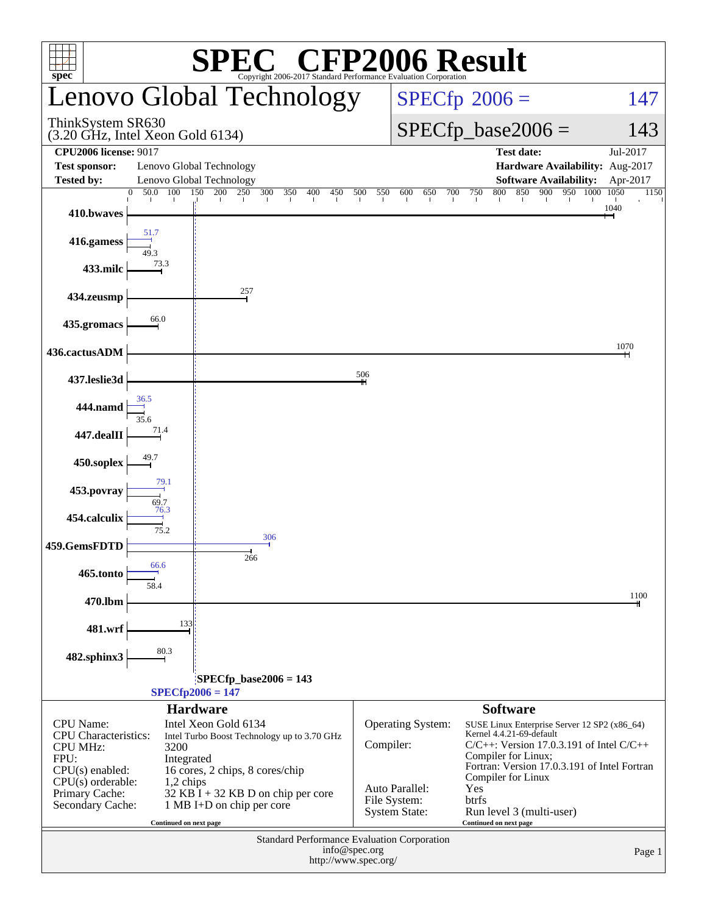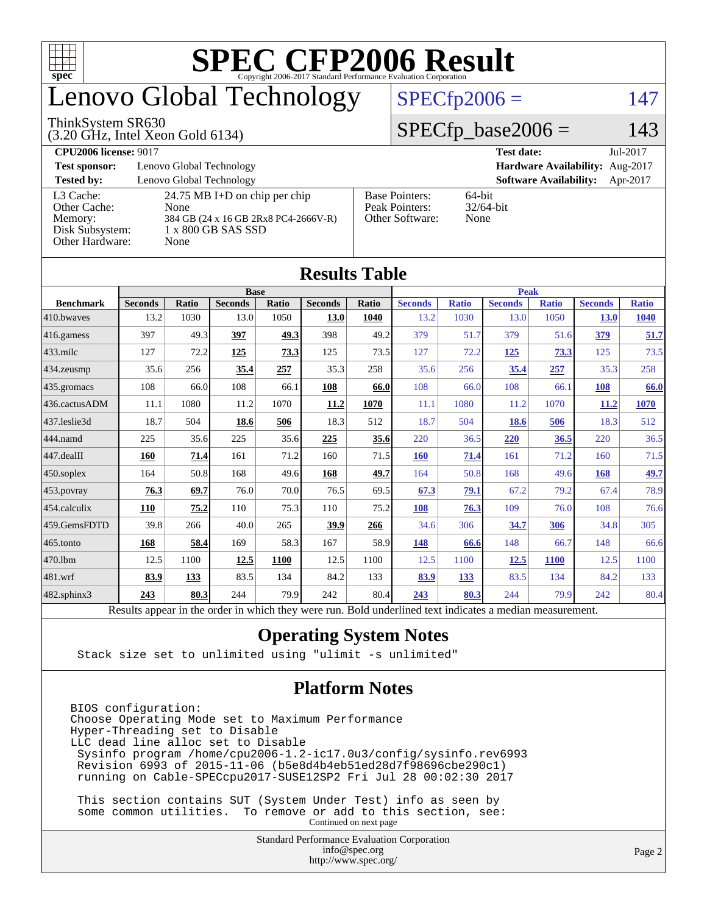

### enovo Global Technology

#### ThinkSystem SR630

(3.20 GHz, Intel Xeon Gold 6134)

 $SPECfp2006 = 147$  $SPECfp2006 = 147$ 

#### $SPECfp\_base2006 = 143$

| <b>CPU2006 license: 9017</b>                  |                                                                    |                                         | <b>Test date:</b><br>Jul-2017             |  |  |  |
|-----------------------------------------------|--------------------------------------------------------------------|-----------------------------------------|-------------------------------------------|--|--|--|
| <b>Test sponsor:</b>                          | Lenovo Global Technology                                           | Hardware Availability: Aug-2017         |                                           |  |  |  |
| <b>Tested by:</b>                             | Lenovo Global Technology                                           |                                         | <b>Software Availability:</b><br>Apr-2017 |  |  |  |
| L3 Cache:<br>Other Cache:                     | 24.75 MB I+D on chip per chip<br>None                              | <b>Base Pointers:</b><br>Peak Pointers: | 64-bit<br>$32/64$ -bit                    |  |  |  |
| Memory:<br>Disk Subsystem:<br>Other Hardware: | 384 GB (24 x 16 GB 2Rx8 PC4-2666V-R)<br>1 x 800 GB SAS SSD<br>None | Other Software:                         | None                                      |  |  |  |

**[Results Table](http://www.spec.org/auto/cpu2006/Docs/result-fields.html#ResultsTable)**

| Results Table    |                                                                                                          |              |                |       |                |       |                |              |                |              |                |              |
|------------------|----------------------------------------------------------------------------------------------------------|--------------|----------------|-------|----------------|-------|----------------|--------------|----------------|--------------|----------------|--------------|
|                  | <b>Base</b>                                                                                              |              |                |       |                |       | <b>Peak</b>    |              |                |              |                |              |
| <b>Benchmark</b> | <b>Seconds</b>                                                                                           | <b>Ratio</b> | <b>Seconds</b> | Ratio | <b>Seconds</b> | Ratio | <b>Seconds</b> | <b>Ratio</b> | <b>Seconds</b> | <b>Ratio</b> | <b>Seconds</b> | <b>Ratio</b> |
| 410.bwayes       | 13.2                                                                                                     | 1030         | 13.0           | 1050  | 13.0           | 1040  | 13.2           | 1030         | 13.0           | 1050         | <b>13.0</b>    | 1040         |
| 416.gamess       | 397                                                                                                      | 49.3         | 397            | 49.3  | 398            | 49.2  | 379            | 51.7         | 379            | 51.6         | <u>379</u>     | 51.7         |
| $433$ .milc      | 127                                                                                                      | 72.2         | 125            | 73.3  | 125            | 73.5  | 127            | 72.2         | <u>125</u>     | 73.3         | 125            | 73.5         |
| $434$ . zeusmp   | 35.6                                                                                                     | 256          | 35.4           | 257   | 35.3           | 258   | 35.6           | 256          | 35.4           | 257          | 35.3           | 258          |
| $435.$ gromacs   | 108                                                                                                      | 66.0         | 108            | 66.1  | 108            | 66.0  | 108            | 66.0         | 108            | 66.1         | 108            | 66.0         |
| 436.cactusADM    | 11.1                                                                                                     | 1080         | 11.2           | 1070  | 11.2           | 1070  | 11.1           | 1080         | 11.2           | 1070         | <b>11.2</b>    | 1070         |
| 437.leslie3d     | 18.7                                                                                                     | 504          | 18.6           | 506   | 18.3           | 512   | 18.7           | 504          | 18.6           | 506          | 18.3           | 512          |
| 444.namd         | 225                                                                                                      | 35.6         | 225            | 35.6  | 225            | 35.6  | 220            | 36.5         | 220            | 36.5         | 220            | 36.5         |
| $447$ .dealII    | 160                                                                                                      | 71.4         | 161            | 71.2  | 160            | 71.5  | 160            | 71.4         | 161            | 71.2         | 160            | 71.5         |
| $450$ .soplex    | 164                                                                                                      | 50.8         | 168            | 49.6  | 168            | 49.7  | 164            | 50.8         | 168            | 49.6         | 168            | 49.7         |
| $453$ .povray    | 76.3                                                                                                     | 69.7         | 76.0           | 70.0  | 76.5           | 69.5  | 67.3           | 79.1         | 67.2           | 79.2         | 67.4           | 78.9         |
| $454$ .calculix  | <b>110</b>                                                                                               | 75.2         | 110            | 75.3  | 110            | 75.2  | 108            | 76.3         | 109            | 76.0         | 108            | 76.6         |
| 459.GemsFDTD     | 39.8                                                                                                     | 266          | 40.0           | 265   | 39.9           | 266   | 34.6           | 306          | 34.7           | 306          | 34.8           | 305          |
| $ 465$ .tonto    | 168                                                                                                      | 58.4         | 169            | 58.3  | 167            | 58.9  | 148            | 66.6         | 148            | 66.7         | 148            | 66.6         |
| 470.1bm          | 12.5                                                                                                     | 1100         | 12.5           | 1100  | 12.5           | 1100  | 12.5           | 1100         | 12.5           | <b>1100</b>  | 12.5           | 1100         |
| $ 481$ .wrf      | 83.9                                                                                                     | 133          | 83.5           | 134   | 84.2           | 133   | 83.9           | 133          | 83.5           | 134          | 84.2           | 133          |
| 482.sphinx3      | 243                                                                                                      | 80.3         | 244            | 79.9  | 242            | 80.4  | 243            | 80.3         | 244            | 79.9         | 242            | 80.4         |
|                  | Results appear in the order in which they were run. Bold underlined text indicates a median measurement. |              |                |       |                |       |                |              |                |              |                |              |

#### **[Operating System Notes](http://www.spec.org/auto/cpu2006/Docs/result-fields.html#OperatingSystemNotes)**

Stack size set to unlimited using "ulimit -s unlimited"

#### **[Platform Notes](http://www.spec.org/auto/cpu2006/Docs/result-fields.html#PlatformNotes)**

BIOS configuration: Choose Operating Mode set to Maximum Performance Hyper-Threading set to Disable LLC dead line alloc set to Disable Sysinfo program /home/cpu2006-1.2-ic17.0u3/config/sysinfo.rev6993 Revision 6993 of 2015-11-06 (b5e8d4b4eb51ed28d7f98696cbe290c1) running on Cable-SPECcpu2017-SUSE12SP2 Fri Jul 28 00:02:30 2017

 This section contains SUT (System Under Test) info as seen by some common utilities. To remove or add to this section, see: Continued on next page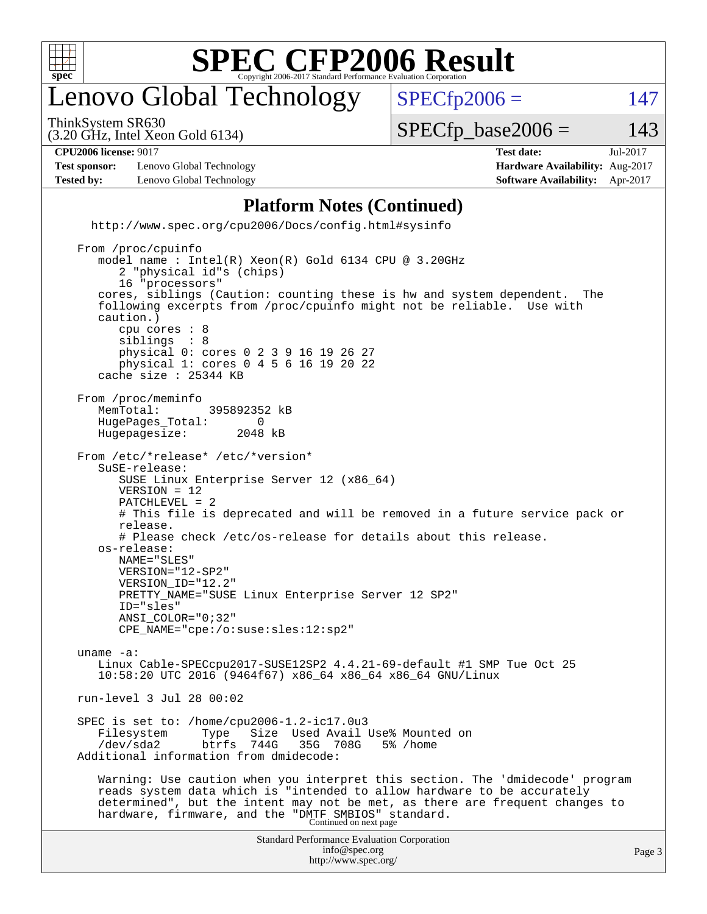

### enovo Global Technology

ThinkSystem SR630

 $SPECTp2006 = 147$ 

(3.20 GHz, Intel Xeon Gold 6134)

 $SPECTp\_base2006 = 143$ 

**[CPU2006 license:](http://www.spec.org/auto/cpu2006/Docs/result-fields.html#CPU2006license)** 9017 **[Test date:](http://www.spec.org/auto/cpu2006/Docs/result-fields.html#Testdate)** Jul-2017

**[Test sponsor:](http://www.spec.org/auto/cpu2006/Docs/result-fields.html#Testsponsor)** Lenovo Global Technology **[Hardware Availability:](http://www.spec.org/auto/cpu2006/Docs/result-fields.html#HardwareAvailability)** Aug-2017 **[Tested by:](http://www.spec.org/auto/cpu2006/Docs/result-fields.html#Testedby)** Lenovo Global Technology **[Software Availability:](http://www.spec.org/auto/cpu2006/Docs/result-fields.html#SoftwareAvailability)** Apr-2017

**[Platform Notes \(Continued\)](http://www.spec.org/auto/cpu2006/Docs/result-fields.html#PlatformNotes)**

 <http://www.spec.org/cpu2006/Docs/config.html#sysinfo> From /proc/cpuinfo

Standard Performance Evaluation Corporation [info@spec.org](mailto:info@spec.org) model name : Intel(R) Xeon(R) Gold 6134 CPU @ 3.20GHz 2 "physical id"s (chips) 16 "processors" cores, siblings (Caution: counting these is hw and system dependent. The following excerpts from /proc/cpuinfo might not be reliable. Use with caution.) cpu cores : 8 siblings physical 0: cores 0 2 3 9 16 19 26 27 physical 1: cores 0 4 5 6 16 19 20 22 cache size : 25344 KB From /proc/meminfo<br>MemTotal: 395892352 kB HugePages\_Total: 0<br>Hugepagesize: 2048 kB Hugepagesize: From /etc/\*release\* /etc/\*version\* SuSE-release: SUSE Linux Enterprise Server 12 (x86\_64) VERSION = 12 PATCHLEVEL = 2 # This file is deprecated and will be removed in a future service pack or release. # Please check /etc/os-release for details about this release. os-release: NAME="SLES" VERSION="12-SP2" VERSION\_ID="12.2" PRETTY\_NAME="SUSE Linux Enterprise Server 12 SP2" ID="sles" ANSI\_COLOR="0;32" CPE\_NAME="cpe:/o:suse:sles:12:sp2" uname -a: Linux Cable-SPECcpu2017-SUSE12SP2 4.4.21-69-default #1 SMP Tue Oct 25 10:58:20 UTC 2016 (9464f67) x86\_64 x86\_64 x86\_64 GNU/Linux run-level 3 Jul 28 00:02 SPEC is set to: /home/cpu2006-1.2-ic17.0u3 Filesystem Type Size Used-Avail-Use%-Mounted-on-<br>
/dev/sda2 btrfs 744G 35G 708G 5%-/home /dev/sda2 btrfs 744G 35G 708G 5% /home Additional information from dmidecode: Warning: Use caution when you interpret this section. The 'dmidecode' program reads system data which is "intended to allow hardware to be accurately determined", but the intent may not be met, as there are frequent changes to hardware, firmware, and the "DMTF SMBIOS" standard.<br>Continued on next page

<http://www.spec.org/>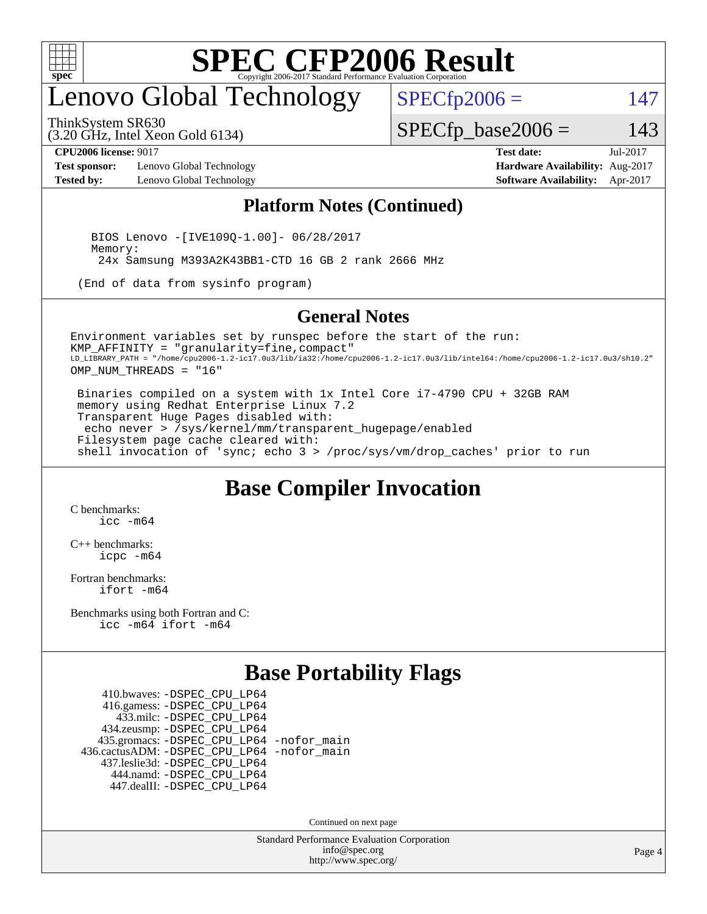

### enovo Global Technology

ThinkSystem SR630

(3.20 GHz, Intel Xeon Gold 6134)

 $SPECTp2006 = 147$ 

#### $SPECfp\_base2006 = 143$

**[Test sponsor:](http://www.spec.org/auto/cpu2006/Docs/result-fields.html#Testsponsor)** Lenovo Global Technology **[Hardware Availability:](http://www.spec.org/auto/cpu2006/Docs/result-fields.html#HardwareAvailability)** Aug-2017 **[Tested by:](http://www.spec.org/auto/cpu2006/Docs/result-fields.html#Testedby)** Lenovo Global Technology **[Software Availability:](http://www.spec.org/auto/cpu2006/Docs/result-fields.html#SoftwareAvailability)** Apr-2017

**[CPU2006 license:](http://www.spec.org/auto/cpu2006/Docs/result-fields.html#CPU2006license)** 9017 **[Test date:](http://www.spec.org/auto/cpu2006/Docs/result-fields.html#Testdate)** Jul-2017

#### **[Platform Notes \(Continued\)](http://www.spec.org/auto/cpu2006/Docs/result-fields.html#PlatformNotes)**

 BIOS Lenovo -[IVE109Q-1.00]- 06/28/2017 Memory: 24x Samsung M393A2K43BB1-CTD 16 GB 2 rank 2666 MHz

(End of data from sysinfo program)

#### **[General Notes](http://www.spec.org/auto/cpu2006/Docs/result-fields.html#GeneralNotes)**

Environment variables set by runspec before the start of the run: KMP\_AFFINITY = "granularity=fine,compact" LD\_LIBRARY\_PATH = "/home/cpu2006-1.2-ic17.0u3/lib/ia32:/home/cpu2006-1.2-ic17.0u3/lib/intel64:/home/cpu2006-1.2-ic17.0u3/sh10.2" OMP\_NUM\_THREADS = "16"

 Binaries compiled on a system with 1x Intel Core i7-4790 CPU + 32GB RAM memory using Redhat Enterprise Linux 7.2 Transparent Huge Pages disabled with: echo never > /sys/kernel/mm/transparent\_hugepage/enabled Filesystem page cache cleared with: shell invocation of 'sync; echo 3 > /proc/sys/vm/drop\_caches' prior to run

#### **[Base Compiler Invocation](http://www.spec.org/auto/cpu2006/Docs/result-fields.html#BaseCompilerInvocation)**

[C benchmarks](http://www.spec.org/auto/cpu2006/Docs/result-fields.html#Cbenchmarks): [icc -m64](http://www.spec.org/cpu2006/results/res2017q4/cpu2006-20170918-49554.flags.html#user_CCbase_intel_icc_64bit_bda6cc9af1fdbb0edc3795bac97ada53)

[C++ benchmarks:](http://www.spec.org/auto/cpu2006/Docs/result-fields.html#CXXbenchmarks) [icpc -m64](http://www.spec.org/cpu2006/results/res2017q4/cpu2006-20170918-49554.flags.html#user_CXXbase_intel_icpc_64bit_fc66a5337ce925472a5c54ad6a0de310)

[Fortran benchmarks](http://www.spec.org/auto/cpu2006/Docs/result-fields.html#Fortranbenchmarks): [ifort -m64](http://www.spec.org/cpu2006/results/res2017q4/cpu2006-20170918-49554.flags.html#user_FCbase_intel_ifort_64bit_ee9d0fb25645d0210d97eb0527dcc06e)

[Benchmarks using both Fortran and C](http://www.spec.org/auto/cpu2006/Docs/result-fields.html#BenchmarksusingbothFortranandC): [icc -m64](http://www.spec.org/cpu2006/results/res2017q4/cpu2006-20170918-49554.flags.html#user_CC_FCbase_intel_icc_64bit_bda6cc9af1fdbb0edc3795bac97ada53) [ifort -m64](http://www.spec.org/cpu2006/results/res2017q4/cpu2006-20170918-49554.flags.html#user_CC_FCbase_intel_ifort_64bit_ee9d0fb25645d0210d97eb0527dcc06e)

#### **[Base Portability Flags](http://www.spec.org/auto/cpu2006/Docs/result-fields.html#BasePortabilityFlags)**

 410.bwaves: [-DSPEC\\_CPU\\_LP64](http://www.spec.org/cpu2006/results/res2017q4/cpu2006-20170918-49554.flags.html#suite_basePORTABILITY410_bwaves_DSPEC_CPU_LP64) 416.gamess: [-DSPEC\\_CPU\\_LP64](http://www.spec.org/cpu2006/results/res2017q4/cpu2006-20170918-49554.flags.html#suite_basePORTABILITY416_gamess_DSPEC_CPU_LP64) 433.milc: [-DSPEC\\_CPU\\_LP64](http://www.spec.org/cpu2006/results/res2017q4/cpu2006-20170918-49554.flags.html#suite_basePORTABILITY433_milc_DSPEC_CPU_LP64) 434.zeusmp: [-DSPEC\\_CPU\\_LP64](http://www.spec.org/cpu2006/results/res2017q4/cpu2006-20170918-49554.flags.html#suite_basePORTABILITY434_zeusmp_DSPEC_CPU_LP64) 435.gromacs: [-DSPEC\\_CPU\\_LP64](http://www.spec.org/cpu2006/results/res2017q4/cpu2006-20170918-49554.flags.html#suite_basePORTABILITY435_gromacs_DSPEC_CPU_LP64) [-nofor\\_main](http://www.spec.org/cpu2006/results/res2017q4/cpu2006-20170918-49554.flags.html#user_baseLDPORTABILITY435_gromacs_f-nofor_main) 436.cactusADM: [-DSPEC\\_CPU\\_LP64](http://www.spec.org/cpu2006/results/res2017q4/cpu2006-20170918-49554.flags.html#suite_basePORTABILITY436_cactusADM_DSPEC_CPU_LP64) [-nofor\\_main](http://www.spec.org/cpu2006/results/res2017q4/cpu2006-20170918-49554.flags.html#user_baseLDPORTABILITY436_cactusADM_f-nofor_main) 437.leslie3d: [-DSPEC\\_CPU\\_LP64](http://www.spec.org/cpu2006/results/res2017q4/cpu2006-20170918-49554.flags.html#suite_basePORTABILITY437_leslie3d_DSPEC_CPU_LP64) 444.namd: [-DSPEC\\_CPU\\_LP64](http://www.spec.org/cpu2006/results/res2017q4/cpu2006-20170918-49554.flags.html#suite_basePORTABILITY444_namd_DSPEC_CPU_LP64) 447.dealII: [-DSPEC\\_CPU\\_LP64](http://www.spec.org/cpu2006/results/res2017q4/cpu2006-20170918-49554.flags.html#suite_basePORTABILITY447_dealII_DSPEC_CPU_LP64)

Continued on next page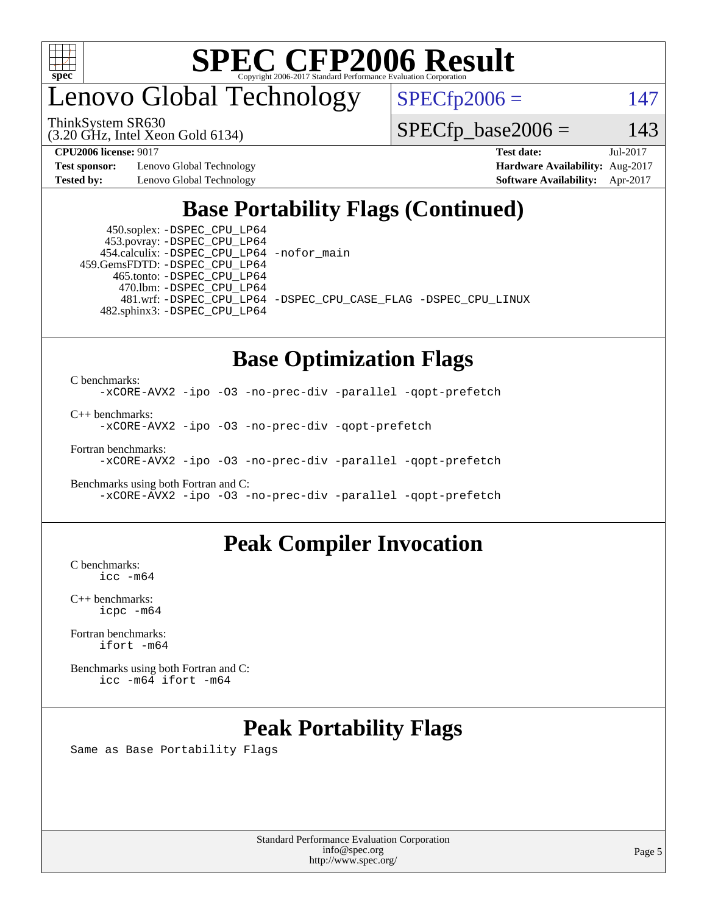

### enovo Global Technology

ThinkSystem SR630

(3.20 GHz, Intel Xeon Gold 6134)

 $SPECfp2006 = 147$  $SPECfp2006 = 147$ 

 $SPECTp\_base2006 = 143$ 

**[Test sponsor:](http://www.spec.org/auto/cpu2006/Docs/result-fields.html#Testsponsor)** Lenovo Global Technology **[Hardware Availability:](http://www.spec.org/auto/cpu2006/Docs/result-fields.html#HardwareAvailability)** Aug-2017

**[CPU2006 license:](http://www.spec.org/auto/cpu2006/Docs/result-fields.html#CPU2006license)** 9017 **[Test date:](http://www.spec.org/auto/cpu2006/Docs/result-fields.html#Testdate)** Jul-2017 **[Tested by:](http://www.spec.org/auto/cpu2006/Docs/result-fields.html#Testedby)** Lenovo Global Technology **[Software Availability:](http://www.spec.org/auto/cpu2006/Docs/result-fields.html#SoftwareAvailability)** Apr-2017

#### **[Base Portability Flags \(Continued\)](http://www.spec.org/auto/cpu2006/Docs/result-fields.html#BasePortabilityFlags)**

 450.soplex: [-DSPEC\\_CPU\\_LP64](http://www.spec.org/cpu2006/results/res2017q4/cpu2006-20170918-49554.flags.html#suite_basePORTABILITY450_soplex_DSPEC_CPU_LP64) 453.povray: [-DSPEC\\_CPU\\_LP64](http://www.spec.org/cpu2006/results/res2017q4/cpu2006-20170918-49554.flags.html#suite_basePORTABILITY453_povray_DSPEC_CPU_LP64) 454.calculix: [-DSPEC\\_CPU\\_LP64](http://www.spec.org/cpu2006/results/res2017q4/cpu2006-20170918-49554.flags.html#suite_basePORTABILITY454_calculix_DSPEC_CPU_LP64) [-nofor\\_main](http://www.spec.org/cpu2006/results/res2017q4/cpu2006-20170918-49554.flags.html#user_baseLDPORTABILITY454_calculix_f-nofor_main) 459.GemsFDTD: [-DSPEC\\_CPU\\_LP64](http://www.spec.org/cpu2006/results/res2017q4/cpu2006-20170918-49554.flags.html#suite_basePORTABILITY459_GemsFDTD_DSPEC_CPU_LP64) 465.tonto: [-DSPEC\\_CPU\\_LP64](http://www.spec.org/cpu2006/results/res2017q4/cpu2006-20170918-49554.flags.html#suite_basePORTABILITY465_tonto_DSPEC_CPU_LP64) 470.lbm: [-DSPEC\\_CPU\\_LP64](http://www.spec.org/cpu2006/results/res2017q4/cpu2006-20170918-49554.flags.html#suite_basePORTABILITY470_lbm_DSPEC_CPU_LP64) 482.sphinx3: [-DSPEC\\_CPU\\_LP64](http://www.spec.org/cpu2006/results/res2017q4/cpu2006-20170918-49554.flags.html#suite_basePORTABILITY482_sphinx3_DSPEC_CPU_LP64)

481.wrf: [-DSPEC\\_CPU\\_LP64](http://www.spec.org/cpu2006/results/res2017q4/cpu2006-20170918-49554.flags.html#suite_basePORTABILITY481_wrf_DSPEC_CPU_LP64) [-DSPEC\\_CPU\\_CASE\\_FLAG](http://www.spec.org/cpu2006/results/res2017q4/cpu2006-20170918-49554.flags.html#b481.wrf_baseCPORTABILITY_DSPEC_CPU_CASE_FLAG) [-DSPEC\\_CPU\\_LINUX](http://www.spec.org/cpu2006/results/res2017q4/cpu2006-20170918-49554.flags.html#b481.wrf_baseCPORTABILITY_DSPEC_CPU_LINUX)

#### **[Base Optimization Flags](http://www.spec.org/auto/cpu2006/Docs/result-fields.html#BaseOptimizationFlags)**

[C benchmarks](http://www.spec.org/auto/cpu2006/Docs/result-fields.html#Cbenchmarks): [-xCORE-AVX2](http://www.spec.org/cpu2006/results/res2017q4/cpu2006-20170918-49554.flags.html#user_CCbase_f-xCORE-AVX2) [-ipo](http://www.spec.org/cpu2006/results/res2017q4/cpu2006-20170918-49554.flags.html#user_CCbase_f-ipo) [-O3](http://www.spec.org/cpu2006/results/res2017q4/cpu2006-20170918-49554.flags.html#user_CCbase_f-O3) [-no-prec-div](http://www.spec.org/cpu2006/results/res2017q4/cpu2006-20170918-49554.flags.html#user_CCbase_f-no-prec-div) [-parallel](http://www.spec.org/cpu2006/results/res2017q4/cpu2006-20170918-49554.flags.html#user_CCbase_f-parallel) [-qopt-prefetch](http://www.spec.org/cpu2006/results/res2017q4/cpu2006-20170918-49554.flags.html#user_CCbase_f-qopt-prefetch)

[C++ benchmarks:](http://www.spec.org/auto/cpu2006/Docs/result-fields.html#CXXbenchmarks)

[-xCORE-AVX2](http://www.spec.org/cpu2006/results/res2017q4/cpu2006-20170918-49554.flags.html#user_CXXbase_f-xCORE-AVX2) [-ipo](http://www.spec.org/cpu2006/results/res2017q4/cpu2006-20170918-49554.flags.html#user_CXXbase_f-ipo) [-O3](http://www.spec.org/cpu2006/results/res2017q4/cpu2006-20170918-49554.flags.html#user_CXXbase_f-O3) [-no-prec-div](http://www.spec.org/cpu2006/results/res2017q4/cpu2006-20170918-49554.flags.html#user_CXXbase_f-no-prec-div) [-qopt-prefetch](http://www.spec.org/cpu2006/results/res2017q4/cpu2006-20170918-49554.flags.html#user_CXXbase_f-qopt-prefetch)

[Fortran benchmarks](http://www.spec.org/auto/cpu2006/Docs/result-fields.html#Fortranbenchmarks):

[-xCORE-AVX2](http://www.spec.org/cpu2006/results/res2017q4/cpu2006-20170918-49554.flags.html#user_FCbase_f-xCORE-AVX2) [-ipo](http://www.spec.org/cpu2006/results/res2017q4/cpu2006-20170918-49554.flags.html#user_FCbase_f-ipo) [-O3](http://www.spec.org/cpu2006/results/res2017q4/cpu2006-20170918-49554.flags.html#user_FCbase_f-O3) [-no-prec-div](http://www.spec.org/cpu2006/results/res2017q4/cpu2006-20170918-49554.flags.html#user_FCbase_f-no-prec-div) [-parallel](http://www.spec.org/cpu2006/results/res2017q4/cpu2006-20170918-49554.flags.html#user_FCbase_f-parallel) [-qopt-prefetch](http://www.spec.org/cpu2006/results/res2017q4/cpu2006-20170918-49554.flags.html#user_FCbase_f-qopt-prefetch)

[Benchmarks using both Fortran and C](http://www.spec.org/auto/cpu2006/Docs/result-fields.html#BenchmarksusingbothFortranandC): [-xCORE-AVX2](http://www.spec.org/cpu2006/results/res2017q4/cpu2006-20170918-49554.flags.html#user_CC_FCbase_f-xCORE-AVX2) [-ipo](http://www.spec.org/cpu2006/results/res2017q4/cpu2006-20170918-49554.flags.html#user_CC_FCbase_f-ipo) [-O3](http://www.spec.org/cpu2006/results/res2017q4/cpu2006-20170918-49554.flags.html#user_CC_FCbase_f-O3) [-no-prec-div](http://www.spec.org/cpu2006/results/res2017q4/cpu2006-20170918-49554.flags.html#user_CC_FCbase_f-no-prec-div) [-parallel](http://www.spec.org/cpu2006/results/res2017q4/cpu2006-20170918-49554.flags.html#user_CC_FCbase_f-parallel) [-qopt-prefetch](http://www.spec.org/cpu2006/results/res2017q4/cpu2006-20170918-49554.flags.html#user_CC_FCbase_f-qopt-prefetch)

#### **[Peak Compiler Invocation](http://www.spec.org/auto/cpu2006/Docs/result-fields.html#PeakCompilerInvocation)**

[C benchmarks](http://www.spec.org/auto/cpu2006/Docs/result-fields.html#Cbenchmarks): [icc -m64](http://www.spec.org/cpu2006/results/res2017q4/cpu2006-20170918-49554.flags.html#user_CCpeak_intel_icc_64bit_bda6cc9af1fdbb0edc3795bac97ada53)

[C++ benchmarks:](http://www.spec.org/auto/cpu2006/Docs/result-fields.html#CXXbenchmarks) [icpc -m64](http://www.spec.org/cpu2006/results/res2017q4/cpu2006-20170918-49554.flags.html#user_CXXpeak_intel_icpc_64bit_fc66a5337ce925472a5c54ad6a0de310)

[Fortran benchmarks](http://www.spec.org/auto/cpu2006/Docs/result-fields.html#Fortranbenchmarks): [ifort -m64](http://www.spec.org/cpu2006/results/res2017q4/cpu2006-20170918-49554.flags.html#user_FCpeak_intel_ifort_64bit_ee9d0fb25645d0210d97eb0527dcc06e)

[Benchmarks using both Fortran and C](http://www.spec.org/auto/cpu2006/Docs/result-fields.html#BenchmarksusingbothFortranandC): [icc -m64](http://www.spec.org/cpu2006/results/res2017q4/cpu2006-20170918-49554.flags.html#user_CC_FCpeak_intel_icc_64bit_bda6cc9af1fdbb0edc3795bac97ada53) [ifort -m64](http://www.spec.org/cpu2006/results/res2017q4/cpu2006-20170918-49554.flags.html#user_CC_FCpeak_intel_ifort_64bit_ee9d0fb25645d0210d97eb0527dcc06e)

#### **[Peak Portability Flags](http://www.spec.org/auto/cpu2006/Docs/result-fields.html#PeakPortabilityFlags)**

Same as Base Portability Flags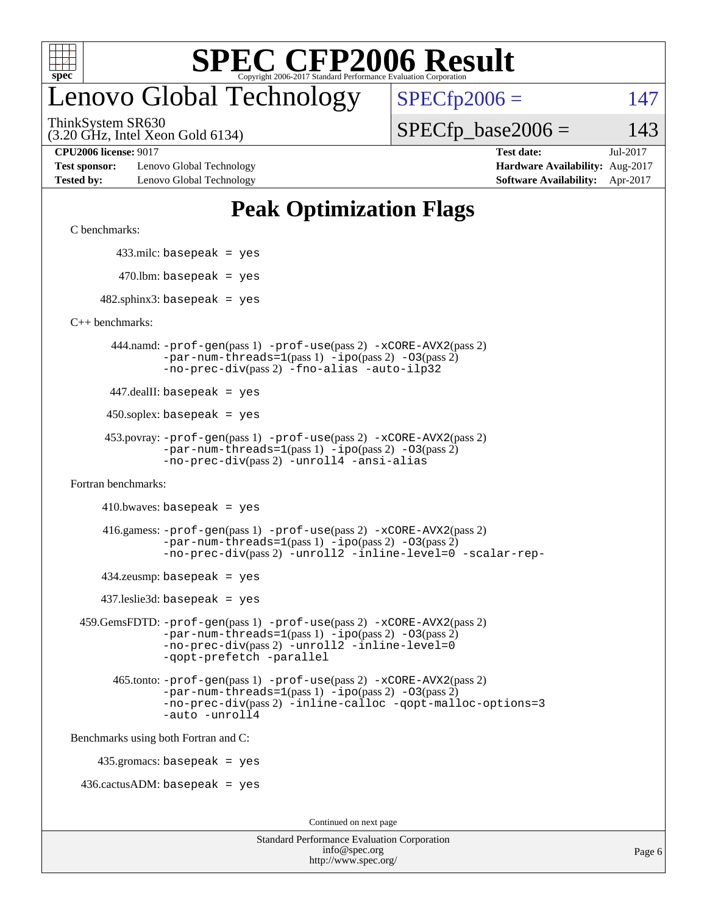

### enovo Global Technology

ThinkSystem SR630

(3.20 GHz, Intel Xeon Gold 6134)

 $SPECfp2006 = 147$  $SPECfp2006 = 147$ 

 $SPECTp\_base2006 = 143$ 

**[Test sponsor:](http://www.spec.org/auto/cpu2006/Docs/result-fields.html#Testsponsor)** Lenovo Global Technology **[Hardware Availability:](http://www.spec.org/auto/cpu2006/Docs/result-fields.html#HardwareAvailability)** Aug-2017 **[Tested by:](http://www.spec.org/auto/cpu2006/Docs/result-fields.html#Testedby)** Lenovo Global Technology **[Software Availability:](http://www.spec.org/auto/cpu2006/Docs/result-fields.html#SoftwareAvailability)** Apr-2017

**[CPU2006 license:](http://www.spec.org/auto/cpu2006/Docs/result-fields.html#CPU2006license)** 9017 **[Test date:](http://www.spec.org/auto/cpu2006/Docs/result-fields.html#Testdate)** Jul-2017

#### **[Peak Optimization Flags](http://www.spec.org/auto/cpu2006/Docs/result-fields.html#PeakOptimizationFlags)**

[C benchmarks](http://www.spec.org/auto/cpu2006/Docs/result-fields.html#Cbenchmarks):

433.milc: basepeak = yes

 $470$ .lbm: basepeak = yes

 $482$ .sphinx3: basepeak = yes

[C++ benchmarks:](http://www.spec.org/auto/cpu2006/Docs/result-fields.html#CXXbenchmarks)

 444.namd: [-prof-gen](http://www.spec.org/cpu2006/results/res2017q4/cpu2006-20170918-49554.flags.html#user_peakPASS1_CXXFLAGSPASS1_LDFLAGS444_namd_prof_gen_e43856698f6ca7b7e442dfd80e94a8fc)(pass 1) [-prof-use](http://www.spec.org/cpu2006/results/res2017q4/cpu2006-20170918-49554.flags.html#user_peakPASS2_CXXFLAGSPASS2_LDFLAGS444_namd_prof_use_bccf7792157ff70d64e32fe3e1250b55)(pass 2) [-xCORE-AVX2](http://www.spec.org/cpu2006/results/res2017q4/cpu2006-20170918-49554.flags.html#user_peakPASS2_CXXFLAGSPASS2_LDFLAGS444_namd_f-xCORE-AVX2)(pass 2)  $-par-num-threads=1(pass 1) -ipo(pass 2) -O3(pass 2)$  $-par-num-threads=1(pass 1) -ipo(pass 2) -O3(pass 2)$  $-par-num-threads=1(pass 1) -ipo(pass 2) -O3(pass 2)$  $-par-num-threads=1(pass 1) -ipo(pass 2) -O3(pass 2)$  $-par-num-threads=1(pass 1) -ipo(pass 2) -O3(pass 2)$  $-par-num-threads=1(pass 1) -ipo(pass 2) -O3(pass 2)$ [-no-prec-div](http://www.spec.org/cpu2006/results/res2017q4/cpu2006-20170918-49554.flags.html#user_peakPASS2_CXXFLAGSPASS2_LDFLAGS444_namd_f-no-prec-div)(pass 2) [-fno-alias](http://www.spec.org/cpu2006/results/res2017q4/cpu2006-20170918-49554.flags.html#user_peakCXXOPTIMIZEOPTIMIZE444_namd_f-no-alias_694e77f6c5a51e658e82ccff53a9e63a) [-auto-ilp32](http://www.spec.org/cpu2006/results/res2017q4/cpu2006-20170918-49554.flags.html#user_peakCXXOPTIMIZE444_namd_f-auto-ilp32)

447.dealII: basepeak = yes

 $450$ .soplex: basepeak = yes

```
 453.povray: -prof-gen(pass 1) -prof-use(pass 2) -xCORE-AVX2(pass 2)
         -par-num-threads=1-ipo-O3(pass 2)-no-prec-div(pass 2) -unroll4 -ansi-alias
```
[Fortran benchmarks](http://www.spec.org/auto/cpu2006/Docs/result-fields.html#Fortranbenchmarks):

```
410.bwaves: basepeak = yes
```

```
 416.gamess: -prof-gen(pass 1) -prof-use(pass 2) -xCORE-AVX2(pass 2)
         -par-num-threads=1-ipo-O3(pass 2)-no-prec-div(pass 2) -unroll2 -inline-level=0 -scalar-rep-
```
 $434$ .zeusmp: basepeak = yes

437.leslie3d: basepeak = yes

```
 459.GemsFDTD: -prof-gen(pass 1) -prof-use(pass 2) -xCORE-AVX2(pass 2)
            -par-num-threads=1-ipo-O3(pass 2)-no-prec-div(pass 2) -unroll2 -inline-level=0
            -qopt-prefetch -parallel
```

```
 465.tonto: -prof-gen(pass 1) -prof-use(pass 2) -xCORE-AVX2(pass 2)
       -par-num-threads=1-ipo-O3(pass 2)-no-prec-div-inline-calloc-qopt-malloc-options=3
       -auto -unroll4
```
[Benchmarks using both Fortran and C](http://www.spec.org/auto/cpu2006/Docs/result-fields.html#BenchmarksusingbothFortranandC):

435.gromacs: basepeak = yes

 $436.cactusADM:basepeak = yes$ 

Continued on next page

| <b>Standard Performance Evaluation Corporation</b> |
|----------------------------------------------------|
| info@spec.org                                      |
| http://www.spec.org/                               |